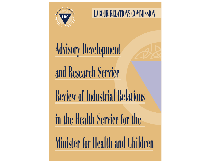



# Advisory Development

# and Research Service

Review of Industrial Relations

in the Health Service for the

Minister for Health and Children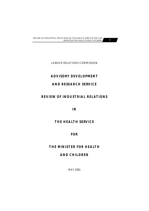LABOUR RELATIONS COMMISSION

### **ADVISORY DEVELOPMENT**

### **AND RESEARCH SERVICE**

### **REVIEW OF INDUSTRIAL RELATIONS**

**IN**

### **THE HEALTH SERVICE**

**FOR**

### **THE MINISTER FOR HEALTH**

### **AND CHILDREN**

MAY 2001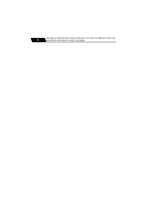### **ii** REVIEW OF INDUSTRIAL RELATIONS IN THE HEALTH SERVICE FOR THE MINISTER FOR HEALTH AND CHILDREN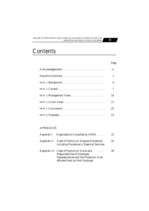### REVIEW OF INDUSTRIAL RELATIONS IN THE HEALTH SERVICE FOR THE **MINISTER** FOR THE MINISTER FOR HEALTH AND CHILDREN

# **Contents**

### Page

| Acknowledgements | iv |
|------------------|----|
|                  |    |
|                  | 6  |
|                  |    |
|                  | 10 |
|                  | 17 |
|                  | 22 |
|                  | 23 |

### **APPENDICES**

| Appendix I | Organisations Consulted by ADRS;                                                                                                                            |    |
|------------|-------------------------------------------------------------------------------------------------------------------------------------------------------------|----|
|            | Appendix II Code of Practice on Disputes Procedures.<br><b>Including Procedures in Essential Services;</b>                                                  | 32 |
|            | Appendix III Code of Practice on Duties and<br>Responsibilities of Employee<br>Representatives and the Protection to be<br>afforded them by their Employer. | 39 |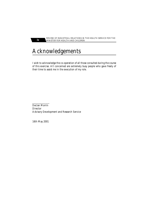# Acknowledgements

I wish to acknowledge the co-operation of all those consulted during the course of this exercise. All concerned are extremely busy people who gave freely of their time to assist me in the execution of my role.

Declan Morrin Director Advisory Development and Research Service

16th May 2001

\_\_\_\_\_\_\_\_\_\_\_\_\_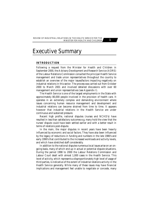# Executive Summary

### **INTRODUCTION**

Following a request from the Minister for Health and Children in September 2000, the Advisory Development and Research Service (ADRS) of the Labour Relations Commission consulted the principal Health Service management and trade union representatives throughout the country to establish an overview of the major issues/factors impacting negatively on industrial relations in this sector. The process was carried out from October 2000 to March 2001 and involved detailed discussions with over 60 management and union representatives (see Appendix I).

The Health Service is one of the largest employments in the State with approximately 80,000 people involved in the provision of health care. It operates in an extremely complex and demanding environment where issues concerning human resource management and development and industrial relations can become strained from time to time. It appears however that industrial relations in the Health Service are under continuous and sustained pressure.

Recent high profile, national disputes (nurses and NCHD's) have resulted in less than satisfactory outcomes e.g. many hold the view that the nurses' dispute could have been settled earlier and with a better result in terms of relations post-dispute.

In the main, the major disputes in recent years have been heavily influenced by economic and social factors. They have also been influenced by the legacy of reductions in funding and numbers in the late 1980's and early 1990's that contributed to the increased workloads and activity levels, and which have stretched staff considerably.

In addition to the national disputes numerous local issues arise on an ongoing basis, many of which end up in actual or potential dispute situations. During the period 1998 to 2000 the Labour Relations Commission and Labour Court dealt with almost 1,000 cases in the Health Service. This level of activity, which represents a disproportionately high level of usage of third parties, is indicative of the extent of industrial relations activity in the Health Service generally. While many of these issues may have financial implications and management feel unable to negotiate or concede, many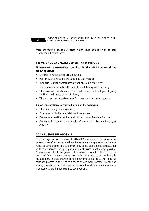more are routine, day-to-day issues, which could be dealt with at local health board/hospital level.

### **VIEWS OF LOCAL MANAGEMENT AND UNIONS**

**Management representatives consulted by the ADRS expressed the following views:**

- Control from the centre are too strong;
- Poor industrial relations are damaging staff morale;
- Industrial relations procedures are not operating effectively;
- Unions are not operating the industrial relations process properly;
- The role and functions of the Health Service Employers Agency (HSEA) are in need of re-definition;
- The Human Resource/Personnel function is not properly resourced.

### **Union representatives expressed views on the following:**

- The inflexibility of management;
- Frustration with the industrial relations process;
- Concerns in relation to the remit of the Human Resource function;
- Concerns in relation to the role of the Health Service Employers Agency.

### **CONCLUSIONS/PROPOSALS**

Both management and unions in the Health Service are concerned with the current state of industrial relations. Because many disputes in the Service relate to some degree to Government pay policy and there is potential for wide repercussions, the speedy resolution of issues is not always possible. Consideration should be given to the extent to which authority can be devolved from the centre consistent with the principles of the Strategic Management Initiative (SMI). In the meantime all parties to the industrial relations process in the Health Service should work together to develop strategic responses in the areas of industrial relations, human resource management and human resource development.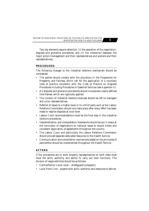Two key elements require attention, (i) the operation of the negotiation, disputes and grievance procedures, and (ii) the interaction between the major actors (management and their representatives and workers and their representatives).

### **PROCEDURES:**

The following changes to the industrial relations mechanism should be considered:

- The parties should comply with the provisions in the Programme for Prosperity and Fairness, which call for the application of a voluntary code of practice consistent with the Code of Practice on Disputes Procedures Including Procedures in Essential Services (see Appendix II).
- All disputes and grievance procedures should incorporate clearly defined time frames, which are rigorously applied.
- The conduct of industrial relations business should be left to managers and union representatives.
- Referral of issues to a higher level or to a third party such as the Labour Relations Commission should only take place after every effort has been made to resolve disputes at local level.
- Labour Court recommendations must be the final step in the industrial relations procedures.
- Implementation and interpretation frameworks should be put in place at the conclusion of negotiations on national issues to ensure timely and consistent application of agreements throughout the country.
- The Labour Court and particularly the Labour Relations Commission should provide separate dedicated resources to the Health Service.
- Communication and consultation mechanisms based on the principles of partnership should be implemented throughout the Health Service.

### **ACTORS:**

If the procedures are to work properly representatives on both sides must have the skills, authority and ability to carry out their functions. The division of responsibilities should be as follows:

- Central/Senior Local Level strategy/policy/support;
- Local Front Line experts with skills, authority and resources to deliver.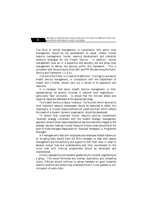The focus of central management, in consultation with senior local management, should be the development of robust, modern human resource management, human resource development and industrial relations strategies for the Health Service. In addition, central management must act in a supportive and advisory role and allow local management to deliver the services within this framework. This is consistent with the provisions of the SMI and PPF [Modernising the Public Service and Framework I (1.4.3)]

The role of the HSEA is in need of re-definition. The Agency and senior Health Service management, in consultation with the Department of Health and Children, should carry out a review of its operations and resources.

It is necessary that senior Health Service management, or their representatives, be directly involved in national level negotiations – particularly their conclusion - to ensure that the intricate details and logistical issues are addressed at the appropriate stage.

The Health Service is labour intensive. The function which services its most important resource (employees) should be resourced to reflect this importance. A Human Resource/Personnel career structure, which reflects the needs of a modern, dynamic organisation, should be developed.

To ensure that corporate human resource policies complement "business" strategy (consistent with the modern strategic management approach where human resource/personnel decisions become integral to the strategic decision making) Human Resource Director posts should be at the level of those managers responsible for "business" strategies i.e. Programme Managers.

All managers who deal with employees and employee related matters on an on-going basis should have the skills necessary to deal with people management and the authority and support to fulfil their roles. In order to develop mutual trust and understanding with their counterparts on the union side joint training programmes should be developed and implemented.

Unions representing similar/same grades should consider negotiating as a group. This would eliminate any overlap, duplication and competing claims. Officials should continue to advise members on good industrial relations practice and ensure they understand that it is not possible to win concession of every claim.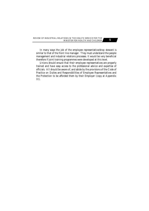In many ways the job of the employee representative/shop steward is similar to that of the front line manager. They must understand the people management and industrial relations processes. It would be very beneficial therefore if joint training programmes were developed at this level.

Unions should ensure that their employee representatives are properly trained and have easy access to the professional advice and expertise of officials. All should be aware of, and abide by the provisions of the Code of Practice on Duties and Responsibilities of Employee Representatives and the Protection to be afforded them by their Employer (copy at Appendix III).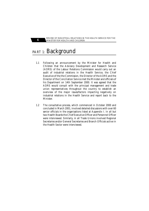# PART 1: Background

- 1.1 Following an announcement by the Minister for Health and Children that the Advisory Development and Research Service (ADRS) of the Labour Relations Commission would carry out an audit of industrial relations in the Health Service, the Chief Executive of the the Commission, the Director of the ADRS and the Director of the Conciliation Service met the Minister and officials of his Department on 14th September 2000. It was agreed that the ADRS would consult with the principal management and trade union representatives throughout the country to establish an overview of the major issues/factors impacting negatively on industrial relations in the Health Service and report back to the Minister.
- 1.2 The consultative process, which commenced in October 2000 and concluded in March 2001, involved detailed discussions with over 60 senior officials in the organisations listed at Appendix I. In all but two Health Boards the Chief Executive Officer and Personnel Officer were interviewed. Similarly, in all Trade Unions involved Regional Secretaries and/or General Secretaries and Branch Officials active in the Health Sector were interviewed.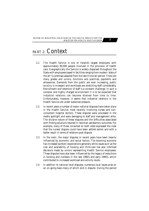### PART 2: Context

- 2.1 The Health Service is one of Ireland's largest employers with approximately 80,000 people involved in the provision of health care. Geographically the Service is widely dispersed throughout the State with employees based in facilities ranging from modern 'state of the art' to premises adapted from the late Victorian period. There are many grades and unions, functions and practices, payments and allowances. Demands from the public are ever increasing, public scrutiny is incessant and workloads are stretching staff considerably. Recruitment and retention of staff is a constant challenge. In such a complex and highly charged environment it is to be expected that industrial relations can become strained from time to time. Unfortunately, however, it seems that industrial relations in the Health Service are under sustained pressure.
- 2.2 In recent years a number of major national disputes have taken place in the Health Service, most recently involving nurses and nonconsultant hospital doctors. These disputes were processed in the media spotlight and were damaging to staff and management alike. The divisive nature of these disputes and the difficulties associated with finding solutions resulted in less than satisfactory outcomes. For example, many of those consulted on both sides expressed the view that the nurses' dispute could have been settled earlier and with a better result in terms of relations post-dispute.
- 2.3 In the main, the major disputes in recent years have been heavily influenced by economic and social factors. The booming economy has increased workers' expectations generally while issues such as the cost and availability of housing and child-care has also informed decisions made by unions representing Health Service employees. These disputes have also been influenced by the legacy of reductions in funding and numbers in the late 1980's and early 1990's, which contributed to increased workload and activity levels.
- 2.4 In addition to national level disputes, numerous local issues arise on an on-going basis many of which end in dispute. During the period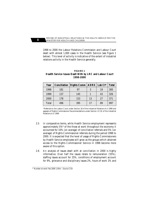#### **8** REVIEW OF INDUSTRIAL RELATIONS IN THE HEALTH SERVICE FOR THE RELATIONS IN THE HEALTH AND CHILDREN MINISTER FOR HEALTH AND CHILDREN

1998 to 2000 the Labour Relations Commission and Labour Court dealt with almost 1,000 cases in the Health Service (see Figure 1 below). This level of activity is indicative of the extent of industrial relations activity in the Health Service generally.

| Year  | <b>Conciliation</b> | Rights Comm   ADRS   Lab Ct* |    |    | <b>Total</b> |
|-------|---------------------|------------------------------|----|----|--------------|
| 1998  | 181                 | 97                           | 3  | 19 | 300          |
| 1999  | 137                 | 145                          |    | 43 | 326          |
| 2000  | 178                 | 153                          | 13 | 27 | 371          |
| Total | 496                 | 395                          | 17 | 89 | 997          |

### **FIGURE 1 Health Service Issues Dealt With by LRC and Labour Court 1998-2000**

\*Referrals to the Labour Court under Section 26 of the Industrial Relations Act 1990 and appeals of Rights Commissioner Recommendations under Section 13 (9) of the Industrial Relations Act 1969

- 2.5 In comparative terms, while Health Service employment represents approximately 5%\* of the those at work throughout the economy it accounted for 10% (on average) of conciliation referrals and 5% (on average) of Rights Commissioner referrals during the period 1998 to 2000. It is expected that the level of usage of Rights Commissioners by Health Service employees will grow as the groups which attained access to the Rights Commissioner Service in 1998 become more aware of this option.
- 2.6 An analysis of issues dealt with at conciliation in 2000 is highly informative. Over half the issues relate to remuneration (55%), staffing issues account for 25%, conditions of employment account for 9%, grievance and disciplinary issues 2%, hours of work 2% and

\_\_\_\_\_\_\_\_\_\_\_\_\_\_\_\_\_\_\_\_\_\_\_\_\_\_\_\_\_\_\_\_\_\_\_\_\_\_\_\_ \* Number at work Feb 2000 1.65m - Source CSO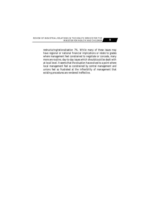restructuring/rationalisation 7%. While many of these issues may have regional or national financial implications or relate to grades where management feel constrained to negotiate or concede, many more are routine, day-to-day issues which should/could be dealt with at local level. It seems that the situation has evolved to a point where local management feel so constrained by central management and unions feel so frustrated at the inflexibility of management that existing procedures are rendered ineffective.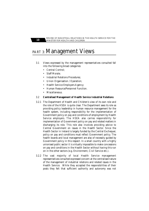## PART 3: Management Views

- 3.1 Views expressed by the management representatives consulted fall into the following broad categories:
	- Central Control;
	- Staff Morale;
	- Industrial Relations Procedures;
	- Union Organisation / Operation;
	- Health Service Employers Agency;
	- Human Resource/Personnel Function.
	- Miscellaneous.

### 3.2 **Centralised Management of Health Service Industrial Relations**

- 3.2.1 The Department of Health and Children's view of its own role and the role of the HSEA is quite clear. The Department sees its role as providing policy leadership in human resource management for the health system, including responsibility for the implementation of Government policy on pay and conditions of employment by Health Service employers. The HSEA also carries responsibility for implementation of Government policy on pay and related matters in discharging its role. This role also involves providing advice to Central Government on issues in the Health Sector. Since the Health Sector in Ireland is largely funded by the Central Exchequer, policy on pay and conditions must reflect Government policy. The health boards and local management are also of necessity guided by Government policy in this respect. In a small country with a highly unionised public sector it is virtually impossible to make concessions on pay and conditions in the Health Sector without having this run on in the other sectors (e.g. Environment, Civil Service etc.).
- 3.2.2 The vast majority of local Health Service management representatives consulted expressed concern at the centralised nature of the management of industrial relations and related issues in the Health Service. While they accepted the responsibilities of their posts they felt that sufficient authority and autonomy was not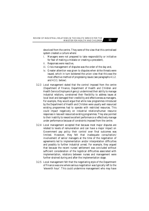devolved from the centre. They were of the view that this centralised system created a culture where:

- i. Managers were not prepared to take responsibility or initiative for fear of making a mistake or creating a precedent,
- ii. Responses were reactive,
- iii. Crisis management of disputes was the order of the day and,
- iv. Greater attention was given to disputes when strike threats were issued, which in turn bolstered the union view that this was the most effective method of progressing issues (see paragraphs 4.1.2. and 4.3.1. below).
- 3.2.3 Local management stated that the control imposed from the centre (Department of Finance, Department of Health and Children and Health Service Employers Agency) undermined their ability to manage industrial relations, constrained their flexibility to address issues at local level and damaged their credibility and effectiveness as managers. For example, they would argue that while new programmes introduced by the Department of Health and Children were usually well resourced existing programmes had to operate with restricted resources. This could impact negatively on industrial relations/human resource responses in less well resourced existing programmes. They also pointed to their inability to reward excellent performance or effectively manage under performance because of constraints imposed from the centre.
- 3.2.4 Local management accepted that because most major disputes are related to levels of remuneration and can have a major impact on Government pay policy their control over final outcomes was limited. However, they felt that inadequate consultation/ involvement of senior managers at the time of the negotiation of agreements led to implementation and/or interpretation difficulties and possibly to further industrial unrest. For example, they argued that because the recent nurses' settlement was concluded without sufficient consideration of the logistical difficulties associated with implementation, relations between nurses and management were further strained during and after the implementation stage.
- 3.2.5 Local management felt that the negotiating style of the Department of Finance was one where serious negotiation was typically left to the 'eleventh hour'. This could undermine management who may have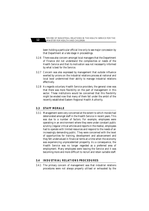been holding a particular official line only to see major concession by that Department at a late stage in proceedings.

- 3.2.6 There was also concern amongst local managers that the Department of Finance did not understand the complexities or needs of the Health Service and that its motivation was not necessarily informed by what is best for the Service.
- 3.2.7 Concern was also expressed by management that outside influence exerted by unions on the industrial relations process at national and local level undermined their ability to manage industrial relations effectively.
- 3.2.8 As regards voluntary Health Service providers, the general view was that there was more flexibility on the part of management in this sector. These institutions would be concerned that this flexibility might be eroded now that many of them fall under the ambit of the recently established Eastern Regional Health Authority.

### **3.3 STAFF MORALE**

3.3.1 Management were very concerned at the extent to which morale had deteriorated amongst staff in the Health Service in recent years. This was due to a number of factors. For example, employees were operating in an environment where they were under constant public scrutiny (regular critical articles and reports in the media), employees had to operate with limited resources and respond to the needs of an increasingly demanding public. They were concerned with the level of opportunities for training, development and advancement and they felt undervalued in financial terms at a time when the economy was experiencing unprecedented prosperity. As a consequence, the Health Service was no longer regarded as a preferred area of employment. Many employees were leaving the Service and it was becoming more and more difficult to recruit and retain suitable staff.

### **3.4 INDUSTRIAL RELATIONS PROCEDURES**

3.4.1 The primary concern of management was that industrial relations procedures were not always properly utilised or exhausted by the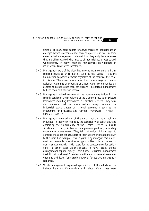unions. In many cases ballots for and/or threats of industrial action emerged before procedures had been completed - in fact in some cases central management indicated that they only became aware that a problem existed when notice of industrial action was served. Consequently, in many instances, management only focused on issues when strikes were threatened.

- 3.4.2 Management were of the view that in some instances union officials referred issues to third parties such as the Labour Relations Commission to pacify members regardless of the merits of the issues in dispute. There was also a view that unions regarded Labour Relations Commission proposals or Labour Court recommendations as starting points rather than conclusions. This forced management to keep their best offers in reserve.
- 3.4.3 Management voiced concern at the non-implementation in the Health Service of the provisions of the Code of Practice on Dispute Procedures including Procedures in Essential Services. They were also concerned that the unions had not always honoured the industrial peace clauses of national agreements such as the Programme for Prosperity and Fairness (Framework I, Annex I, Clauses 11 and 12).
- 3.4.4 Management were critical of the union tactic of using political influence (in their view helped by the accessibility of politicians) and exploiting the vulnerability of the Health Service in dispute situations. In many instances this pressure paid off, ultimately undermining management. They felt that unions did not seem to consider the wider consequences of their actions and tended to push to the limit. For example, it was suggested by managers that unions used improvements in services as opportunities to force concessions from management with little regard for the consequences for patient care. In other cases unions sought to have locally agreed arrangements applied widely – this further restricted management flexibility at local level. The view was that union demands were ever changing and little, if any, credit was given for positive management responses.
- 3.4.5 While management expressed appreciation of the efforts of the Labour Relations Commission and Labour Court they were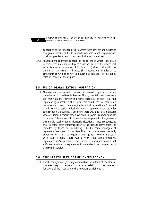concerned at the time required to access these services and suggested that greater resources should be made available to both organisations to allow speedier access to, and conclusion of, procedures.

3.4.6 Management expressed concern at the extent to which they could become over stretched in dispute situations because they must deal with disputes on a number of fronts viz., (i) direct talks with the unions on the issues in dispute, (ii) negotiations in relation to emergency cover in the event of industrial action and, (iii) the public relations aspect of the dispute.

### **3.5 UNION ORGANISATION / OPERATION**

3.5.1 Management expressed concern at several aspects of union organisation in the Health Service. Firstly, they felt that there were too many unions representing some categories of staff (e.g. four representing nurses). In their view this could lead to inter-union tensions which could be damaging to industrial relations. They felt that it would be easier to deal with unions representing same/similar categories on a group basis. Secondly, there was a fear that managers who are union members may have divided loyalties and/or conflicts of interest. Situations could arise where management colleagues were dealing with each other in adversarial situations. It was also suggested that in some cases implementation of settlement terms might be impeded by those not benefiting. Thirdly, some management representatives were of the view that the unions were the only advocates for staff – consequently management were losing touch with staff. Finally, there was a view that some employee representatives/shop stewards and some union officials were not sufficiently trained or experienced to understand the complexities of the Health Service.

### **3.6 THE HEALTH SERVICE EMPLOYERS AGENCY**

3.6.1 Local management generally appreciated the efforts of the HSEA, however they did express concerns in relation to the role and functions of the Agency and the resources available to it.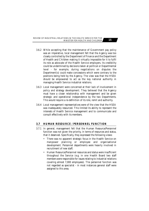**<sup>15</sup>** REVIEW OF INDUSTRIAL RELATIONS IN THE HEALTH SERVICE FOR THE MINISTER FOR HEALTH AND CHILDREN

- 3.6.2 While accepting that the maintenance of Government pay policy was an imperative, local management felt that the Agency was too closely controlled by the Department of Finance and the Department of Health and Children making it virtually impossible for it to fulfil its role as advocate of the Health Service employers. Its credibility could be undermined by decisions taken at political or Departmental level - for example, during negotiations on disputes the Department(s) could make concessions which were contrary to the positions being held by the Agency. The view was that the HSEA should be empowered to act as the key national authority in managing Health Service industrial relations.
- 3.6.3 Local management were concerned at their lack of involvement in policy and strategy development. They believed that the Agency must have a closer relationship with management and be given strategic and operational independence by the two Departments. This would require a re-definition of its role, remit and authority.
- 3.6.4 Local management representatives were of the view that the HSEA was inadequately resourced. This limited its ability to represent the interests of Health Service management and to communicate and consult effectively with its members.

### **3.7 HUMAN RESOURCE / PERSONNEL FUNCTION**

- 3.7.1 In general, management felt that the Human Resource/Personnel function was not given the priority, in terms of resources and status, that it deserved. Specifically, they expressed the following views:
	- There was no apparent strategic focus in the Health Service on manpower planning or employee and organisational development. Personnel departments were heavily involved in recruitment of new staff;
	- Human Resource/Personnel resources and status were insufficient throughout the Service (e.g. in one Health Board two staff members were responsible for issues relating to industrial relations covering almost 7,000 employees). The personnel function was not regarded as specialist - in most instances general staff were assigned to this area;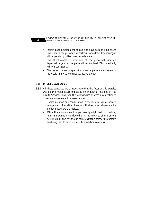- Training and development of staff who have personnel functions - whether in the personnel department or as front line managers with supervisory duties - was not adequate;
- The effectiveness or otherwise of the personnel function depended largely on the personalities involved. This inevitably led to inconsistency;
- The pay and career prospects for potential personnel managers in the Health Service were not attractive enough.

### **3.8 MISCELLANEOUS**

- 3.8.1 All those consulted were made aware that the focus of this exercise was on the major issues impacting on industrial relations in the Health Service. However, the following issues were also mentioned by several management representatives.
	- Communication and consultation in the Health Service needed to improve. Information flows in both directions between centre and local level were criticised.
	- While there was a view that partnership might help in the long term, management considered that the motives of the unions were in doubt and felt that in some cases the partnership process was being used to advance industrial relations agendas.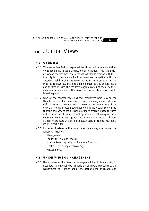# PART<sub>4:</sub> Union Views

### **4.1 OVERVIEW**

- 4.1.1 The collective feeling expressed by those union representatives consulted during this exercise was one of frustration - frustration with delays and the fact that issues were left to fester, frustration with their inability to process claims for their members, frustration with the apparent inability of management to negotiate, frustration at the inability to have national deals implemented quickly at local level and frustration with the resultant anger directed at them by their members. Many were of the view that the situation was close to breaking point.
- 4.1.2 One of the consequences was that employees were leaving the Health Service at a time when it was becoming more and more difficult to recruit replacements. In essence, the unions were of the view that normal procedures did not work in the Health Service and that the only way to get a response or make progress was to threaten industrial action. It is worth noting however that many of those consulted felt that management in the voluntary sector had more flexibility and were therefore in a better position to deal with local issues in particular.
- 4.1.3 For ease of reference the union views are categorised under the following headings:
	- Management;
	- Industrial Relations Process:
	- Human Resource/Industrial Relations Function;
	- Health Service Employers Agency;
	- Miscellaneous.

### **4.2 UNION VIEWS ON MANAGEMENT**

4.2.1 Unions were of the view that management had little authority to negotiate - at national level all decisions of import were taken by the Department of Finance and/or the Department of Health and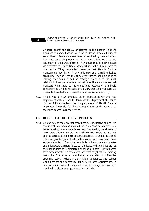Children and/or the HSEA or referred to the Labour Relations Commission and/or Labour Court for validation. The credibility of senior Health Service managers was undermined by their exclusion from the concluding stages of major negotiations such as the settlement of the nurses' dispute. They argued that local level issues were referred to Health Board headquarters level and from there to the centre. They concluded therefore that Health Service management had little, if any influence and therefore lacked credibility. They believed that they were reactive, had no culture of making decisions and had no strategic overview of industrial relations in their organisations. In their view there was a sense that managers were afraid to make decisions because of the likely consequences. Unions were also of the view that some managers use the control exerted from the centre as an excuse for inactivity.

4.2.2 There was a view amongst union representatives that the Department of Health and Children and the Department of Finance did not fully understand the complex needs of Health Service employees. It was also felt that the Department of Finance exerted too much control over the Service.

### **4.3 INDUSTRIAL RELATIONS PROCESS**

4.3.1 Unions were of the view that procedures were ineffective and believe that it took too long and required too much effort to resolve issues. Issues raised by unions were delayed and frustrated by the absence of key or experienced managers, the inability to get answers and meetings and the absence of responses to correspondence. To unions, it seemed that managers delayed in the hope that issues would disappear. These endless delays led to frustration, avoidable problems were left to fester and unions were therefore forced to refer issues to third parties such as the Labour Relations Commission or ballot members to get responses from management. Their view was that pressure got results – waiting was futile. The situation was further exacerbated by difficulties arranging Labour Relations Commission conferences and Labour Court hearings due to resource difficulties in both organisations. In contrast, unions were of the view that when management wanted a meeting it could be arranged almost immediately.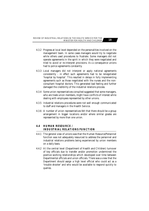- 4.3.2 Progress at local level depended on the personalities involved on the management team. In some cases managers would try to negotiate while others used procedures to frustrate. Some managers did not operate agreements in the spirit in which they were negotiated and tried to avoid or re-interpret provisions. As a consequence unions had to police agreements constantly.
- 4.3.3 Local managers did not interpret or apply national agreements consistently - in effect such agreements had to be renegotiated 'hospital by hospital'. This resulted in delays in fully implementing agreements such as those negotiated with the nurses and the nonconsultant hospital doctors. This generated bad feeling and further damaged the credibility of the industrial relations process.
- 4.3.4 Some union representatives consulted suggested that some managers, who are trade union members, might have conflicts of interest while dealing with employees represented by other unions.
- 4.3.5 Industrial relations procedures were not well enough communicated to staff and managers in the Health Service.
- 4.3.6 A number of union representatives felt that there should be a group arrangement in bigger locations and/or where similar grades are represented by more than one union.

### **4.4 HUMAN RESOURCE / INDUSTRIAL RELATIONS FUNCTION**

- 4.4.1 The general view of unions was that the Human Resource/Personnel function was not adequately resourced to address the personnel and industrial relations problems being experienced by union members on a daily basis.
- 4.4.2 At the central level (Department of Health and Children) turnover of key officials due to transfer and/or promotion undermined the positive working relationships which developed over time between Departmental officials and union officials. There was a view that the Department should assign a high level official who could act as a 'trouble shooter' and who would be available to respond quickly to queries.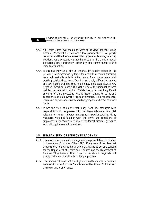- 4.4.3 At Health Board level the unions were of the view that the Human Resource/Personnel function was a low priority, that it was poorly resourced and that key posts were filled by generalists, many in acting positions. As a consequence they believed that there was a lack of professionalism, consistency, continuity and commitment to this important function.
- 4.4.4 It was also the view of the unions that deficiencies existed in the personnel administration system - for example accounts personnel were not available outside office hours. As a consequence staff working outside these hours found it extremely difficult to resolve any pay related problems they might have. This could have a very negative impact on morale. It was the view of the unions that these deficiencies resulted in union officials having to spend significant amounts of time processing routine issues relating to terms and conditions and employment rights of members. As a consequence, many routine personnel issues ended up going the industrial relations route.
- 4.4.5 It was the view of unions that many front line managers with responsibility for employees did not have adequate industrial relations or human resource management experience/skills. Many managers were not familiar with the terms and conditions of employees under their supervision or the formal disputes, grievance and bullying/harassment procedures.

### **4.5 HEALTH SERVICE EMPLOYERS AGENCY**

- 4.5.1 There was a lack of clarity amongst union representatives in relation to the role and functions of the HSEA. Many were of the view that the Agency's role was to block union claims and to act as a conduit for the Department of Health and Children and the Department of Finance. They believed that it had no mandate to negotiate but simply stalled union claims for as long as possible.
- 4.5.2 The unions believed that the Agency's credibility was in question because of control from the Department of Health and Children and the Department of Finance.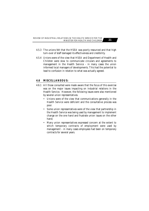- 4.5.3 The unions felt that the HSEA was poorly resourced and that high turn-over of staff damaged its effectiveness and credibility.
- 4.5.4 Unions were of the view that HSEA and Department of Health and Children were slow to communicate circulars and agreements to management in the Health Service - in many cases the union informed local managers of developments. This had the potential to lead to confusion in relation to what was actually agreed.

### **4.6 MISCELLANEOUS:**

- 4.6.1 All those consulted were made aware that the focus of this exercise was on the major issues impacting on industrial relations in the Health Service. However, the following issues were also mentioned by several union representatives.
	- Unions were of the view that communications generally in the Health Service were deficient and the consultative process was poor.
	- Some union representatives were of the view that partnership in the Health Service was being used by management to implement change on the one hand and frustrate union issues on the other hand;
	- Many union representatives expressed concern at the extent to which temporary contracts of employment were used by management - in many cases employees had been on temporary contracts for several years.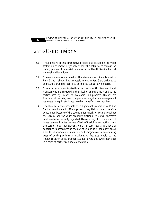# PART 5: Conclusions

- 5.1 The objective of this consultative process is to determine the major factors which impact negatively or have the potential to damage the orderly process of industrial relations in the Health Service both at national and local level.
- 5.2 These conclusions are based on the views and opinions detailed in Parts 3 and 4 above. The proposals set out in Part 6 are designed to address the problems identified during the consultative process.
- 5.3 There is enormous frustration in the Health Service. Local management are frustrated at their lack of empowerment and at the tactics used by unions to overcome this problem. Unions are frustrated at the delays and the perceived negativity of management responses to legitimate issues raised on behalf of their members.
- 5.4 The Health Service accounts for a significant proportion of Public Sector employment. Management negotiators are therefore constrained because of the potential for knock-on costs throughout the Service and the wider economy. National issues will therefore continue to be centrally regulated. However, significant numbers of issues become disputes because of lack of flexibility and authority on the part of local management which in turn results in a lack of adherence to procedures on the part of unions. It is incumbent on all sides to be innovative, inventive and imaginative in determining ways of dealing with such problems. A first step would be the implementation of the proposals set out in Part 6 below by both sides in a spirit of partnership and co-operation.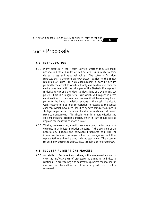## PART 6: Proposals

### **6.1 INTRODUCTION**

- 6.1.1 Many disputes in the Health Service, whether they are major national industrial disputes or routine local issues, relate to some degree to pay and personnel policy. The potential for wider repercussions is therefore an ever-present barrier to the speedy resolution of issues. In such circumstances it must be decided politically the extent to which authority can be devolved from the centre consistent with the principles of the Strategic Management Initiative (SMI) and the wider considerations of Government pay policy. This is a longer term issue which will require in-depth consideration. In the meantime, however, it will be necessary for all parties to the industrial relations process in the Health Service to work together in a spirit of co-operation to respond to the various challenges which have been identified by developing certain specific strategic responses in the areas of industrial relations and human resource management. This should result in a more effective and efficient industrial relations process, which in turn should help to improve the industrial relations climate.
- 6.1.2 The key issues requiring attention revolve around the two most vital elements in an industrial relations process, (i) the operation of the negotiation, disputes and grievance procedures and, (ii) the interaction between the major actors i.e. management and their representatives and workers and their representatives. The proposals set out below attempt to address these issues in a co-ordinated way.

### **6.2 INDUSTRIAL RELATIONS PROCESS**

6.2.1 As detailed in Sections 3 and 4 above, both management and unions view the ineffectiveness of procedures as damaging to industrial relations. In order to begin to address this problem the mechanism itself and the roles and functions of the primary participants must be reassessed.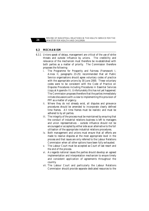#### **24** REVIEW OF INDUSTRIAL RELATIONS IN THE HEALTH SERVICE FOR THE MINISTER FOR HEALTH AND CHILDREN MINISTER FOR HEALTH AND CHILDREN

### **6.3 MECHANISM**

- 6.3.1 Unions speak of delays, management are critical of the use of strike threats and outside influence by unions. The credibility and relevance of the mechanism must therefore be re-established with both parties as a matter of priority. The Commission therefore proposes the following:
	- i. The Programme for Prosperity and Fairness (Framework I, Annex II, paragraphs 23-25) recommended that all Public Service organisations should agree voluntary codes of practice with the appropriate unions by 30 June 2000. These voluntary codes were to be consistent with the Code of Practice on Disputes Procedures including Procedures in Essential Services (copy at Appendix II). Unfortunately this has not yet happened. The Commission proposes therefore that the parties immediately initiate discussions with a view to implementing this provision of PPF as a matter of urgency.
	- ii. Where they do not already exist, all disputes and grievance procedures should be amended to incorporate clearly defined time frames. All time frames must be realistic and must be adhered to by all parties.
	- iii. The integrity of the process must be maintained by ensuring that the conduct of industrial relations business is left to managers and union representatives – outside influence should not be encouraged or accepted by either side as an alternative to the full utilisation of the appropriate industrial relations procedures.
	- iv. Both management and unions must ensure that all efforts are made to resolve disputes at the most appropriate level in the process and that issues are only referred to the Labour Relations Commission when all other options have been fully exhausted.
	- v. The Labour Court must be accepted as Court of last resort and the end of the process.
	- vi. As regards national issues the parties should develop an agreed implementation and interpretation mechanism to ensure timely and consistent application of agreements throughout the country.
	- vii. The Labour Court and particularly the Labour Relations Commission should provide separate dedicated resources to the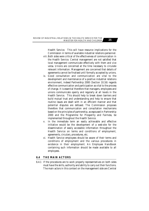#### **<sup>25</sup>** REVIEW OF INDUSTRIAL RELATIONS IN THE HEALTH SERVICE FOR THE MINISTER FOR HEALTH AND CHILDREN

Health Service. This will have resource implications for the Commission in terms of available industrial relations personnel.

- viii. Both sides were critical of the effectiveness of communication in the Health Service. Central management are not satisfied that local management communicate effectively with them and vice versa. Unions are concerned at the time necessary to circulate relevant information. Management are concerned that details of agreements cannot be finalised until formally accepted by unions.
- ix. Good consultation and communication are vital to the development and maintenance of a positive industrial relations environment, indeed Partnership 2000 (Section 10.16) regards effective communication and participation as vital to the process of change. It is essential therefore that managers, employees and unions communicate openly and regularly at all levels in the Health Service. This should help to break down barriers and build mutual trust and understanding and help to ensure that routine issues are dealt with in an efficient manner and that potential disputes are defused. The Commission proposes therefore that communication and consultation mechanisms based on the principles of partnership, as espoused in Partnership 2000 and the Programme for Prosperity and Fairness, be implemented throughout the Health Service.
- x. In the immediate term an easily achievable and effective initiative would be the development of a web-site for the dissemination of easily accessible information throughout the Health Service on terms and conditions of employment, agreements, circulars, procedures, etc.
- xi. Health Service employees should be aware of their terms and conditions of employment and the various procedures in existence in their employment. An Employee Handbook containing such information should be made available to all employees.

### **6.4 THE MAIN ACTORS**

6.4.1 If the procedures are to work properly representatives on both sides must have the skills, authority and ability to carry out their functions. The main actors in this context on the management side are Central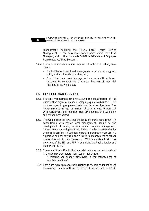Management including the HSEA, Local Health Service Management, Human Resource/Personnel practitioners, Front Line Managers, and on the union side Full-Time Officials and Employee Representatives/Shop Stewards.

- 6.4.2 In simple terms the division of responsibilities should fall along these lines: -
	- Central/Senior Local Level Management develop strategy and policy and provide advice and support;
	- Front Line Local Level Management experts with skills and resources to conduct the day-to-day business of industrial relations in the work place.

### **6.5 CENTRAL MANAGEMENT**

- 6.5.1 Strategic management revolves around the identification of the purpose of an organisation and developing a plan to advance it. This involves organising people and tasks to achieve the objectives. The human resource management system is key to this end. It must deal with recruitment and retention, staff development and evaluation and reward mechanisms.
- 6.5.2 The Commission believes that the focus of central management, in consultation with senior local management, should be the development of robust, modern human resource management, human resource development and industrial relations strategies for the Health Service. In addition, central management must act in a supportive and advisory role and allow local management to deliver the services within this framework. This is consistent with the provisions of the SMI and PPF [Modernising the Public Service and Framework I (1.4.3)]
- 6.5.3 The role of the HSEA in the industrial relations context is defined in the Agency's Corporate Plan (1998 – 2001) as to: -

"Represent and support employers in the management of industrial relations".

6.5.4 Both sides expressed concerns in relation to the role and functions of the Agency. In view of these concerns and the fact that the HSEA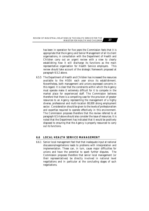has been in operation for five years the Commission feels that it is appropriate that the Agency and Senior Management of all its client organisations, in consultation with the Department of Health and Children carry out an urgent review with a view to clearly establishing how it will discharge its functions as the main representative organisation for Health Service employers. This review should take account of the strategic framework proposed at paragraph 6.5.2 above.

6.5.5 The Department of Health and Children has increased the resources available to the HSEA each year since its establishment. Nevertheless, both management and unions expressed concerns in this regard. It is clear that the constraints within which the Agency must operate make it extremely difficult for it to compete in the market place for experienced staff. The Commission believes therefore that there is a compelling case for the provision of greater resources to an Agency representing the management of a highly diverse, professional and multi-location 80,000 strong employment sector. Consideration should be given to the levels of professionalism and expertise required to operate effectively in this environment. The Commission proposes therefore that the review referred to at paragraph 6.5.4 above should also consider the issue of resources. It is noted that the Department has indicated that it would be positively disposed to ensuring that the Agency is properly resourced to carry out its functions.

### **6.6 LOCAL HEALTH SERVICE MANAGEMENT**

6.6.1 Senior local management feel that that inadequate input at national discussions/negotiations leads to problems with interpretation and implementation. These can, in turn, cause major difficulties for unions and have the potential to spark further disputes. The Commission proposes therefore that senior local management (or their representatives) be directly involved in national level negotiations and in particular at the concluding stages of such negotiations.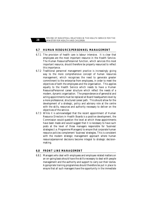### **6.7 HUMAN RESOURCE/PERSONNEL MANAGEMENT**

- 6.7.1 The provision of health care is labour intensive. It is clear that employees are the most important resource in the Health Service. The Human Resource/Personnel function, which services this most important resource, should therefore be properly resourced to reflect this importance.
- 6.7.2 Traditional personnel management practice is increasingly giving way to the more comprehensive concept of human resources management, which recognises the need to generate greater commitment to the enterprise from employees, in order to meet the objectives of both the employees and the organisation. This applies equally to the Health Service which needs to have a Human Resource/Personnel career structure which reflect the needs of a modern, dynamic organisation. The preponderance of generalist and acting appointments must be replaced at Board headquarters level by a more professional, structured career path. This should allow for the development of a strategic, policy and advisory role at the centre with the skills, resources and authority necessary to deliver on the objectives of the service.
- 6.7.3 While it is acknowledged that the recent appointment of Human Resource Directors in Health Boards is a positive development, the Commission would question the level at which these appointments have been made and would suggest that it is necessary to have such posts at the level of those managers responsible for 'business' strategies (i.e. Programme Managers) to ensure that corporate human resource policies complement 'business' strategies. This is consistent with the modern strategic management approach where human resource/personnel decisions become integral to strategic decisionmaking.

### **6.8 FRONT LINE MANAGEMENT**

6.8.1 Managers who deal with employees and employee related matters on an on-going basis should have the skills necessary to deal with people management and the authority and support to carry out their duties. Appropriate training programmes should therefore be put in place to ensure that all such managers have the opportunity in the immediate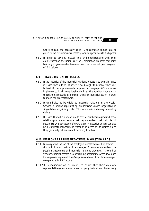future to gain the necessary skills. Consideration should also be given to the requirements necessary for new appointees to such posts.

6.8.2 In order to develop mutual trust and understanding with their counterparts on the union side the Commission proposes that joint training programmes be developed and implemented (see paragraph 6.10.1 below).

### **6.9 TRADE UNION OFFICIALS**

- 6.9.1 If the integrity of the industrial relations process is to be maintained it is vital that outside influence is not brought to bear by either side. Indeed, if the improvements proposed at paragraph 6.3 above are implemented it will considerably diminish the need for trade unions to seek to use outside influence or threaten industrial action in order to move the process forward.
- 6.9.2 It would also be beneficial to industrial relations in the Health Service if unions representing similar/same grades negotiated in single table bargaining units. This would eliminate any competing claims.
- 6.9.3 It is vital that officials continue to advise members on good industrial relations practice and ensure that they understand that that it is not possible to win concession of every claim. A negative answer can also be a legitimate management response on occasions to claims which they genuinely believe do not have any firm basis.

### **6.10 EMPLOYEE REPRESENTATIVES/SHOP STEWARDS**

- 6.10.1 In many ways the job of the employee representative/shop steward is similar to that of the front line manager. They must understand the people management and industrial relations processes. It would be very beneficial therefore if joint training programmes were developed for employee representatives/shop stewards and front line managers (see paragraph 6.8.2 above).
- 6.10.2 It is incumbent on all unions to ensure that their employee representatives/shop stewards are properly trained and have ready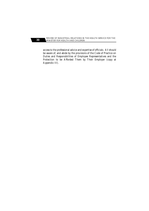access to the professional advice and expertise of officials. All should be aware of, and abide by the provisions of the Code of Practice on Duties and Responsibilities of Employee Representatives and the Protection to be Afforded Them by Their Employer (copy at Appendix III).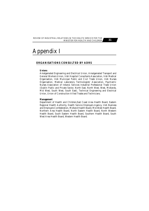# Appendix I

### **ORGANISATIONS CONSULTED BY ADRS**

#### **Unions**

Amalgamated Engineering and Electrical Union, Amalgamated Transport and General Workers Union, Irish Hospital Consultants Association, Irish Medical Organisation, Irish Municipal Public and Civil Trade Union, Irish Nurses Organisation, Medical Laboratory Technologists' Association, Psychiatric Nurses Association of Ireland, Services Industrial Professional Trade Union (Dublin Public and Private Sector, North East, North West, West, Midlands, Mid West, South West, South East), Technical Engineering and Electrical Union, Union of Construction Allied Trades and Technicians.

#### **Management**

Department of Health and Children,East Coast Area Health Board, Eastern Regional Health Authority, Health Service Employers Agency, Irish Business and Employers Confederation, Midland Health Board, Mid-West Health Board, Northern Area Health Board, North Eastern Health Board, North Western Health Board, South Eastern Health Board, Southern Health Board, South West Area Health Board, Western Health Board.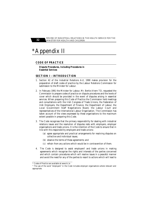# \*Appendix II

### **CODE OF PRACTICE**

**Dispute Procedures, Including Procedures in Essential Services**

### **SECTION I - INTRODUCTION**

- 1. Section 42 of the Industrial Relations Act, 1990 makes provision for the preparation of draft codes of practice by the Labour Relations Commission for submission to the Minister for Labour.
- 2. In February 1991 the Minister for Labour, Mr. Bertie Ahern TD, requested the Commission to prepare codes of practice on dispute procedures and the levels of cover which should be provided in the event of disputes arising in essential services. When preparing this Code of Practice the Commission held meetings and consultations with the Irish Congress of Trade Unions, the Federation of Irish Employers, the Department of Finance, the Department of Labour, the Local Government Staff Negotiations Board, the Labour Court and representatives of the International Labour Organisation. The Commission has taken account of the views expressed by these organisations to the maximum extent possible in preparing this Code.
- 3. The Code recognises that the primary responsibility for dealing with industrial relations issues and the resolution of disputes rests with employers, employer organisations and trade unions. It is the intention of the Code to ensure that in line with this responsibility employers and trade unions:
	- (a) agree appropriate and practical arrangements for resolving disputes on collective and individual issues;
	- (b) observe the terms of these agreements; and
	- (c) refrain from any actions which would be in contravention of them.
- 4. The Code is designed to assist employers† and trade unions in making agreements which recognise the rights and interests of the parties concerned and which contain procedures which will resolve issues in a peaceful manner and avoid the need for any of the parties to resort to actions which will lead to

\_\_\_\_\_\_\_\_\_\_\_\_\_\_\_\_\_\_\_\_\_\_\_\_\_\_\_\_\_\_\_\_\_\_\_\_\_\_\_\_ \* Codes of Practice are available at www.lrc.ie

<sup>†</sup> The use of the word "employers" in the Code includes employer organisations where relevant and appropriate.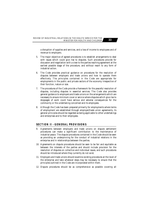a disruption of supplies and services, and a loss of income to employees and of revenue to employers.

- 5. The major objective of agreed procedures is to establish arrangements to deal with issues which could give rise to disputes. Such procedures provide for discussion and negotiation with a view to the parties reaching agreement at the earliest possible stage of the procedure, and without resort to any form of industrial action.
- 6. The Code provides practical guidance on procedures for the resolution of disputes between employers and trade unions and how to operate them effectively. The principles contained in the Code are appropriate for employments in the public and private sectors of the economy irrespective of their function, nature or size.
- 7. The procedures of the Code provide a framework for the peaceful resolution of disputes, including disputes in essential services. The Code also provides general guidance to employers and trade unions on the arrangements which are necessary to ensure minimum cover or service where disputes which give rise to stoppages of work could have serious and adverse consequences for the community or the undertaking concerned and its employees.
- 8. Although the Code has been prepared primarily for employments where terms of employment are established through employer/trade union agreements, its general principles should be regarded as being applicable to other undertakings and enterprises and to their employees.

### **SECTION II - GENERAL PROVISIONS**

- 9. Agreements between employers and trade unions on dispute settlement procedures can make a significant contribution to the maintenance of industrial peace. The dispute procedures contained in the Code should be seen as providing an underpinning for the conduct of industrial relations in the enterprise and in relationships between the parties.
- 10. Agreements on dispute procedures should be seen to be fair and equitable as between the interests of the parties and should include provision for the resolution of disputes on collective and individual issues, and such procedures should be introduced where they currently do not exist.
- 11. Employers and trade unions should examine existing procedures at the level of the enterprise and take whatever steps may be necessary to ensure that the principles outlined in the Code are incorporated within them.
- 12. Dispute procedures should be as comprehensive as possible covering all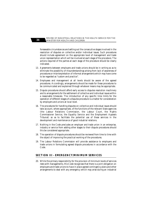foreseeable circumstances and setting out the consecutive stages involved in the resolution of disputes on collective and/or individual issues. Such procedures should include agreement on the appropriate level of management and trade union representation which will be involved at each stage of the procedure. The actions required of the parties at each stage of the procedure should be clearly indicated.

- 13. Agreements between employers and trade unions should be in writing so as to eliminate the possibility of misunderstandings arising from lack of awareness of procedures or misinterpretation of informal arrangements which may have come to be regarded as "custom and practice".
- 14. Employees and management at all levels should be aware of the agreed procedures. Accordingly, arrangements should be made for these procedures to be communicated and explained through whatever means may be appropriate.
- 15. Dispute procedures should afford early access to disputes resolution machinery and to arrangements for the settlement of collective and individual issues within a reasonable timescale. The introduction of any specific time limits for the operation of different stages of a disputes procedure is a matter for consideration by employers and unions at local level.
- 16. The procedures for handling disputes on collective and individual issues should take account, where appropriate, of the functions of the relevant State agencies (the Labour Relations Commission, the Labour Court, the Rights Commissioner Service, the Equality Service and the Employment Appeals Tribunal) so as to facilitate the potential use of these services in the development and maintenance of good industrial relations.
- 17. Nothing in the Code precludes an employer and trade union in an enterprise, industry or service from adding other stages to their dispute procedures should this be considered appropriate.
- 18. The operation of dispute procedures should be reviewed from time to time with the object of improving the practical working of the procedures.
- 19. The Labour Relations Commission will provide assistance to employers and trade unions in formulating agreed dispute procedures in accordance with the Code.

### **SECTION III - EMERGENCY/MINIMUM SERVICES**

20. While the primary responsibility for the provision of minimum levels of services rests with managements, this Code recognises that there is a joint obligation on employers and trade unions to have in place agreed contingency plans and other arrangements to deal with any emergency which may arise during an industrial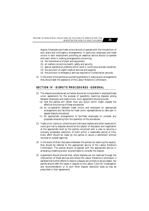dispute. Employers and trade unions should co-operate with the introduction of such plans and contingency arrangements. In particular, employers and trade unions in each employment providing an essential service should co-operate with each other in making arrangements concerning:

- (a) the maintenance of plant and equipment;
- (b) all matters concerning health, safety and security;
- (c) special operational problems which exist in continuous process industries;
- (d) the provision of urgent medical services and supplies;
- (e) the provision of emergency services required on humanitarian grounds.
- 21. In the event of the parties encountering problems in making such arrangements they should seek the assistance of the Labour Relations Commission.

### **SECTION IV - DISPUTE PROCEDURES - GENERAL**

- 22. The dispute procedures set out below should be incorporated in employer/trade union agreements for the purpose of peacefully resolving disputes arising between employers and trade unions. Such agreements should provide:
	- (a) that the parties will refrain from any action which might impede the effective functioning of these procedures;
	- (b) for co-operation between trade unions and employers on appropriate arrangements and facilities for trade union representatives to take part in agreed dispute procedures:
	- (c) for appropriate arrangements to facilitate employees to consider any proposals emanating from the operation of the procedures.
- 23. Trade union claims on collective and individual matters and other issues which could give rise to disputes should be the subject of discussion and negotiation at the appropriate level by the parties concerned with a view to securing a mutually acceptable resolution of them within a reasonable period of time. Every effort should be made by the parties to secure a settlement without recourse to outside agencies.
- 24. In the event of direct discussions between the parties not resolving the issue(s), they should be referred to the appropriate service of the Labour Relations Commission. The parties should co-operate with the appropriate service in arranging a meeting as soon as practicable to consider the dispute.
- 25. Agreements should provide that, where disputes are not resolved through the intervention of these services and where the Labour Relations Commission is satisfied that further efforts to resolve a dispute are unlikely to be successful, the parties should refer the issues in dispute to the Labour Court for investigation and recommendation or to such other dispute resolution body as may be prescribed in their agreements.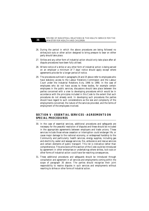#### **36** REVIEW OF INDUSTRIAL RELATIONS IN THE HEALTH SERVICE FOR THE MINISTER FOR HEALTH AND CHILDREN

- 26. During the period in which the above procedures are being followed no strikes,lock-outs or other action designed to bring pressure to bear on either party should take place.
- 27. Strikes and any other form of industrial action should only take place after all dispute procedures have been fully utilised.
- 28. Where notice of a strike or any other form of industrial action is being served on an employer a minimum of 7 days' notice should apply except where agreements provide for a longer period of notice.
- 29. The procedures outlined in paragraphs 24 and 25 above refer to employees who have statutory access to the Labour Relations Commission and the Labour Court under the Industrial Relations Acts, 1946 to 1990. In the case of employees who do not have access to these bodies, for example certain employees in the public services, discussions should take place between the parties concerned with a view to developing procedures which would be in accordance with the principles included in this Code to the extent that such procedures do not already exist. In developing such procedures the parties should have regard to such considerations as the size and complexity of the employments concerned, the nature of the services provided, and the terms of employment of the employees involved.

### **SECTION V - ESSENTIAL SERVICES - AGREEMENTS ON SPECIAL PROCEDURES**

- 30. In the case of essential services, additional procedures and safeguards are necessary for the peaceful resolution of disputes and these should be included in the appropriate agreements between employers and trade unions. These services include those whose cessation or interruption could endanger life, or cause major damage to the national economy, or widespread hardship to the Community and particularly: health services, energy supplies, including gas and electricity, water and sewage services, fire, ambulance and rescue services and certain elements of public transport. This list is indicative rather than comprehensive. The provisions of this section of the Code could be introduced by agreement in other enterprises or undertakings where strikes, lock-outs or other forms of industrial action could have far-reaching consequences.
- 31. These additional procedures and safeguards should be introduced through consultation and agreement in all services and employments coming within the scope of paragraph 30 above. The parties should recognise their joint responsibility to resolve disputes in such services and employments without resorting to strikes or other forms of industrial action.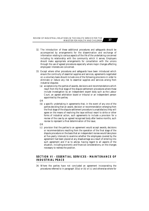**<sup>37</sup>** REVIEW OF INDUSTRIAL RELATIONS IN THE HEALTH SERVICE FOR THE MINISTER FOR HEALTH AND CHILDREN

- 32. The introduction of these additional procedures and safeguards should be accompanied by arrangements for the dissemination and exchange of information relating to various aspects of the life of the undertaking concerned including its relationship with the community which it serves. Employers should make appropriate arrangements for consultation with the unions through the use of agreed procedures especially where major changes affecting employees' interests are concerned.
- 33. Except where other procedures and safeguards have been introduced which ensure the continuity of essential supplies and services, agreements negotiated on a voluntary basis should include one of the following provisions in order to eliminate or reduce any risk to essential supplies and services arising from industrial disputes:
	- (a) acceptance by the parties of awards, decisions and recommendations which result from the final stage of the dispute settlement procedures where these include investigation by an independent expert body such as the Labour Court, an agreed arbitration board or tribunal or an independent person appointed by the parties;
	- OR
	- (b) a specific undertaking in agreements that, in the event of any one of the parties deciding that an award, decision or recommendation emerging from the final stage of the dispute settlement procedure is unsatisfactory they will agree on the means of resolving the issue without resort to strike or other forms of industrial action, such agreements to include a provision for a review of the case by an agreed recognised body after twelve months, such review to represent a final determination of the issue;
	- OR
	- (c) provision that the parties to an agreement would accept awards, decisions or recommendations resulting from the operation of the final stage of the dispute procedure on the basis that an independent review would take place at five-yearly intervals to examine whether the employees covered by the agreement had been placed at any disadvantage as a result of entering into such agreement and if so to advise, having regard to all aspects of the situation, including economic and financial considerations, on the changes necessary to redress the position.

### **SECTION VI - ESSENTIAL SERVICES - MAINTENANCE OF INDUSTRIAL PEACE**

34. Where the parties have not concluded an agreement incorporating the procedures referred to in paragraph 33(a) or (b) or (c) and otherwise where for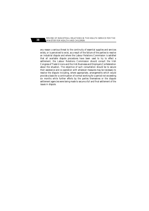#### **38** REVIEW OF INDUSTRIAL RELATIONS IN THE HEALTH SERVICE FOR THE MINISTER FOR HEALTH AND CHILDREN MINISTER FOR HEALTH AND CHILDREN

any reason a serious threat to the continuity of essential supplies and services exists, or is perceived to exist, as a result of the failure of the parties to resolve an industrial dispute and where the Labour Relations Commission is satisfied that all available dispute procedures have been used to try to effect a settlement, the Labour Relations Commission should consult the Irish Congress of Trade Unions and the Irish Businesss and Employers Confederation about the situation. The objective of such consultation should be to secure their assistance and co-operation with whatever measures may be necessary to resolve the dispute including, where appropriate, arrangements which would provide a basis for a continuation of normal working for a period not exceeding six months while further efforts by the parties themselves or the dispute settlement agencies were being made to secure a full and final settlement of the issues in dispute.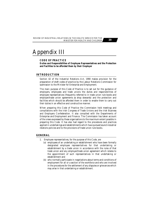# Appendix III

### **CODE OF PRACTICE**

**Duties and Responsibilities of Employee Representatives and the Protection and Facilities to be afforded them by their Employer**

### **INTRODUCTION**

Section 42 of the Industrial Relations Act, 1990 makes provision for the preparation of draft codes of practice by the Labour Relations Commission for submission to the Minister for Enterprise and Employment.

The main purpose of this Code of Practice is to set out for the guidance of employers, employees and trade unions the duties and responsibilities of employee representatives (frequently referred to in trade union rule books and employer/trade union agreements as shop stewards) and the protection and facilities which should be afforded them in order to enable them to carry out their duties in an effective and constructive manner.

When preparing this Code of Practice the Commission held meetings and consultations with the Irish Congress of Trade Unions and the Irish Business and Employers Confederation. It also consulted with the Departments of Enterprise and Employment and Finance. The Commission has taken account of the views expressed by these organisations to the maximum extent possible in preparing this Code. It has also had regard to the procedures and practices applied in undertakings and establishments which have pursued sound industrial relations policies and to the provisions of trade union rule books.

#### **GENERAL**

- 1. Employee representatives, for the purpose of this Code, are
	- (a) employees of an undertaking or establishment who have been formally designated employee representatives for that undertaking or establishment by a trade union in accordance with the rules of that trade union and any employer/trade union agreement which relates to the appointment of such representatives in that undertaking or establishment and
	- (b) who normally participate in negotiations about terms and conditions of employment for all or a section of the workforce and who are involved in the procedures for the settlement of any disputes or grievances which may arise in that undertaking or establishment.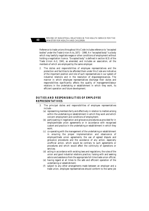Reference to trade unions throughout this Code includes reference to "excepted bodies" under the Trade Union Acts, 1871 – 1990. An "excepted body" is a body which may lawfully negotiate wages or other conditions of employment without holding a negotiation licence. "Excepted body" is defined in section 6(3) of the Trade Union Act, 1941, as amended, and includes an association, all the members of which are employed by the same employer.

2. The duties and responsibilities of employee representatives and the protection and facilities to be afforded them under this Code are indicative of the important position and role of such representatives in our system of industrial relations and in the resolution of disputes/grievances. The manner in which employee representatives discharge their duties and responsibilities significantly affects the quality of management/labour relations in the undertaking or establishment in which they work, its efficient operation and future development.

### **DUTIES AND RESPONSIBILITIES OF EMPLOYEE REPRESENTATIVES**

- 3. The principal duties and responsibilities of employee representatives include -
	- (a) representing members fairly and effectively in relation to matters arising within the undertaking or establishment in which they work and which concern employment and conditions of employment;
	- (b) participating in negotiation and grievance procedures as provided for in employer/trade union agreements or in accordance with recognised custom and practice in the undertaking or establishment in which they work;
	- (c) co-operating with the management of the undertaking or establishment in ensuring the proper implementation and observance of employer/trade union agreements, the use of agreed dispute and grievance procedures and the avoidance of any action, especially unofficial action, which would be contrary to such agreements or procedures and which would affect the continuity of operations or services;
	- (d) acting in accordance with existing laws and regulations, the rules of the union and good industrial relations practice; liaising with and seeking advice and assistance from the appropriate full-time trade union official;
	- (e) having regard at all times to the safe and efficient operation of the undertaking or establishment;
	- (f) subject to any other arrangements made between an employer and a trade union, employee representatives should conform to the same job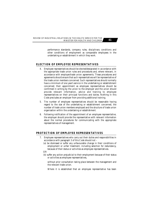performance standards, company rules, disciplinary conditions and other conditions of employment as comparable employees in the undertaking or establishment in which they work.

### **ELECTION OF EMPLOYEE REPRESENTATIVES**

- 4. Employee representatives should be elected/designated in accordance with the appropriate trade union rules and procedures and, where relevant, in accordance with employer/trade union agreements. These procedures and agreements should ensure that such representatives will be representative of the trade union members concerned. Such representatives should normally have a minimum of one year's service in the undertaking or establishment concerned; their appointment as employee representatives should be confirmed in writing by the union to the employer and the union should provide relevant information, advice and training to employee representatives on their principal functions and duties. Nothing in this Code precludes an employer from providing additional training.
- 5. The number of employee representatives should be reasonable having regard to the size of the undertaking or establishment concerned, the number of trade union members employed and the structure of trade union organisation within the undertaking or establishment.
- 6. Following notification of the appointment of an employee representative, the employer should provide the representative with relevant information about the normal procedures for communicating with the appropriate representatives of management.

### **PROTECTION OF EMPLOYEE REPRESENTATIVES**

- 7. Employee representatives who carry out their duties and responsibilities in accordance with paragraph 3 of this Code should not –
	- (a) be dismissed or suffer any unfavourable change in their conditions of employment or unfair treatment, including selection for redundancy, because of their status or activities as employee representatives.
	- OR
	- (b) suffer any action prejudicial to their employment because of their status or activities as employee representatives,

without prior consultation taking place between the management and the relevant trade union.

Where it is established that an employee representative has been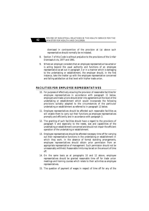dismissed in contravention of the provision at (a) above such representative should normally be re-instated.

- 8. Section 7 of this Code is without prejudice to the provisions of the Unfair Dismissals Acts, 1977 and 1991.
- 9. Where an employer considers that an employee representative has acted or is acting beyond the usual authority and functions of an employee representative as set out in paragraph 3 or in a manner which is damaging to the undertaking or establishment, the employer should, in the first instance, take the matter up with the employee representative concerned and failing satisfaction at that level with his/her trade union.

### **FACILITIES FOR EMPLOYEE REPRESENTATIVES**

- 10. For purposes of effectively ensuring the provision of reasonable facilities for employee representatives in accordance with paragraph 11 below, employers and trade unions should enter into agreements at the level of the undertaking or establishment which would incorporate the following provisions suitably adapted to the circumstances of the particular undertaking or establishment as referred to in paragraph 12 below.
- 11. Employee representatives should be afforded such reasonable facilities as will enable them to carry out their functions as employee representatives promptly and efficiently and in accordance with paragraph 3.
- 12. The granting of such facilities should have a regard to the provisions of paragraph 5 and especially to the needs, size and capabilities of the undertaking or establishment concerned and should not impair the efficient operation of the undertaking or establishment.
- 13. Employee representatives should be afforded necessary time off for carrying out their representative functions in the undertaking or establishment in which they work. In the absence of formal standing arrangements, employee representatives should obtain prior permission from an appropriate representative of management. Such permission should not be unreasonably withheld. Reasonable limits may be set on the amount of time off.
- 14. On the same basis as at paragraphs 10 and 12 above, employee representatives should be granted reasonable time off for trade union meetings and training courses which relate to their activities as employee representatives.
- 15. The question of payment of wages in respect of time off for any of the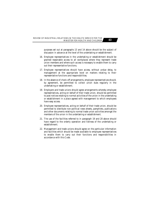purposes set out at paragraphs 13 and 14 above should be the subject of discussion in advance at the level of the undertaking or establishment.

- 16. Employee representatives in the undertaking or establishment should be granted reasonable access to all workplaces where they represent trade union members and where such access is necessary to enable them to carry out their representative functions.
- 17. Employee representatives should have access, without undue delay, to management at the appropriate level on matters relating to their representative functions and responsibilities.
- 18. In the absence of check-off arrangements, employee representatives should, by agreement, be permitted to collect union dues regularly in the undertaking or establishment.
- 19. Employers and trade unions should agree arrangements whereby employee representatives, acting on behalf of their trade union, should be permitted to post notices relating to normal activities of the union in the undertaking or establishment in a place agreed with management to which employees have easy access.
- 20. Employee representatives, acting on behalf of their trade union, should be permitted to distribute non-political news sheets, pamphlets, publications and other documents relating to normal trade union activities amongst the members of the union in the undertaking or establishment.
- 21. The use of the facilities referred to in paragraph 19 and 20 above should have regard to the orderly operation and tidiness of the undertaking or establishment.
- 22. Management and trade unions should agree on the particular information and facilities which should be made available to employee representatives to enable them to carry out their functions and responsibilities in accordance with this Code.